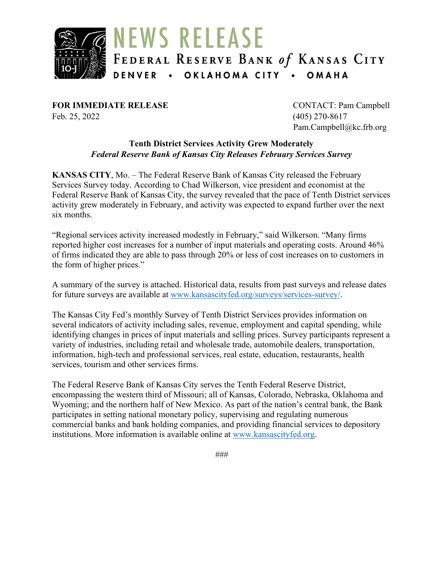

**FOR IMMEDIATE RELEASE** CONTACT: Pam Campbell Feb. 25, 2022 (405) 270-8617

Pam.Campbell@kc.frb.org

#### **Tenth District Services Activity Grew Moderately** *Federal Reserve Bank of Kansas City Releases February Services Survey*

**KANSAS CITY**, Mo. – The Federal Reserve Bank of Kansas City released the February Services Survey today. According to Chad Wilkerson, vice president and economist at the Federal Reserve Bank of Kansas City, the survey revealed that the pace of Tenth District services activity grew moderately in February, and activity was expected to expand further over the next six months.

"Regional services activity increased modestly in February," said Wilkerson. "Many firms reported higher cost increases for a number of input materials and operating costs. Around 46% of firms indicated they are able to pass through 20% or less of cost increases on to customers in the form of higher prices."

A summary of the survey is attached. Historical data, results from past surveys and release dates for future surveys are available at [www.kansascityfed.org/surveys/services-survey/.](https://www.kansascityfed.org/surveys/services-survey/)

The Kansas City Fed's monthly Survey of Tenth District Services provides information on several indicators of activity including sales, revenue, employment and capital spending, while identifying changes in prices of input materials and selling prices. Survey participants represent a variety of industries, including retail and wholesale trade, automobile dealers, transportation, information, high-tech and professional services, real estate, education, restaurants, health services, tourism and other services firms.

The Federal Reserve Bank of Kansas City serves the Tenth Federal Reserve District, encompassing the western third of Missouri; all of Kansas, Colorado, Nebraska, Oklahoma and Wyoming; and the northern half of New Mexico. As part of the nation's central bank, the Bank participates in setting national monetary policy, supervising and regulating numerous commercial banks and bank holding companies, and providing financial services to depository institutions. More information is available online at [www.kansascityfed.org.](http://www.kansascityfed.org/)

*###*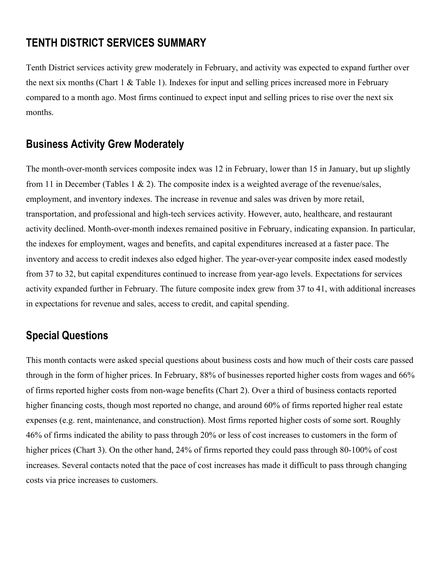## **TENTH DISTRICT SERVICES SUMMARY**

Tenth District services activity grew moderately in February, and activity was expected to expand further over the next six months (Chart 1 & Table 1). Indexes for input and selling prices increased more in February compared to a month ago. Most firms continued to expect input and selling prices to rise over the next six months.

## **Business Activity Grew Moderately**

The month-over-month services composite index was 12 in February, lower than 15 in January, but up slightly from 11 in December (Tables 1 & 2). The composite index is a weighted average of the revenue/sales, employment, and inventory indexes. The increase in revenue and sales was driven by more retail, transportation, and professional and high-tech services activity. However, auto, healthcare, and restaurant activity declined. Month-over-month indexes remained positive in February, indicating expansion. In particular, the indexes for employment, wages and benefits, and capital expenditures increased at a faster pace. The inventory and access to credit indexes also edged higher. The year-over-year composite index eased modestly from 37 to 32, but capital expenditures continued to increase from year-ago levels. Expectations for services activity expanded further in February. The future composite index grew from 37 to 41, with additional increases in expectations for revenue and sales, access to credit, and capital spending.

# **Special Questions**

This month contacts were asked special questions about business costs and how much of their costs care passed through in the form of higher prices. In February, 88% of businesses reported higher costs from wages and 66% of firms reported higher costs from non-wage benefits (Chart 2). Over a third of business contacts reported higher financing costs, though most reported no change, and around 60% of firms reported higher real estate expenses (e.g. rent, maintenance, and construction). Most firms reported higher costs of some sort. Roughly 46% of firms indicated the ability to pass through 20% or less of cost increases to customers in the form of higher prices (Chart 3). On the other hand, 24% of firms reported they could pass through 80-100% of cost increases. Several contacts noted that the pace of cost increases has made it difficult to pass through changing costs via price increases to customers.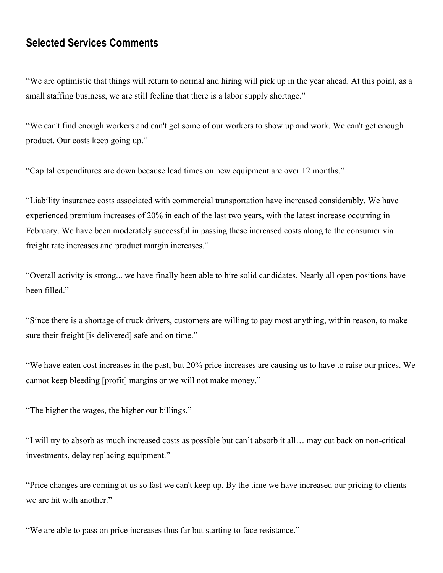### **Selected Services Comments**

"We are optimistic that things will return to normal and hiring will pick up in the year ahead. At this point, as a small staffing business, we are still feeling that there is a labor supply shortage."

"We can't find enough workers and can't get some of our workers to show up and work. We can't get enough product. Our costs keep going up."

"Capital expenditures are down because lead times on new equipment are over 12 months."

"Liability insurance costs associated with commercial transportation have increased considerably. We have experienced premium increases of 20% in each of the last two years, with the latest increase occurring in February. We have been moderately successful in passing these increased costs along to the consumer via freight rate increases and product margin increases."

"Overall activity is strong... we have finally been able to hire solid candidates. Nearly all open positions have been filled."

"Since there is a shortage of truck drivers, customers are willing to pay most anything, within reason, to make sure their freight [is delivered] safe and on time."

"We have eaten cost increases in the past, but 20% price increases are causing us to have to raise our prices. We cannot keep bleeding [profit] margins or we will not make money."

"The higher the wages, the higher our billings."

"I will try to absorb as much increased costs as possible but can't absorb it all… may cut back on non-critical investments, delay replacing equipment."

"Price changes are coming at us so fast we can't keep up. By the time we have increased our pricing to clients we are hit with another."

"We are able to pass on price increases thus far but starting to face resistance."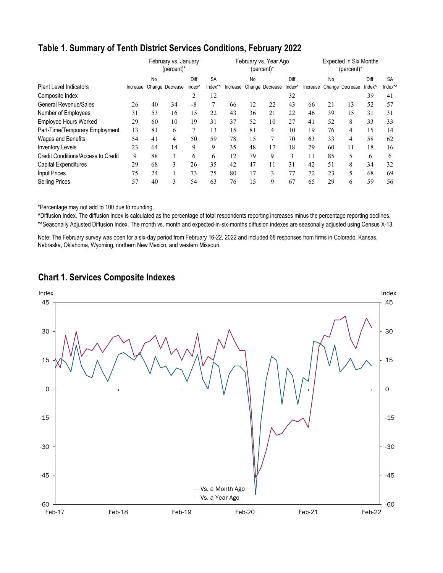### **Table 1. Summary of Tenth District Services Conditions, February 2022**

|                                    |          |    | February vs. January<br>$(\text{percent})^*$ |                    | February vs. Year Ago<br>(percent)* |          |    |                 | <b>Expected in Six Months</b><br>$(percent)^*$ |    |    |                          |                    |           |
|------------------------------------|----------|----|----------------------------------------------|--------------------|-------------------------------------|----------|----|-----------------|------------------------------------------------|----|----|--------------------------|--------------------|-----------|
|                                    |          | No |                                              | Diff               | <b>SA</b>                           |          | No |                 | Diff                                           |    | No |                          | Diff               | <b>SA</b> |
| <b>Plant Level Indicators</b>      | Increase |    | Change Decrease                              | Index <sup>^</sup> | Index*^                             | Increase |    | Change Decrease | Index <sup>^</sup>                             |    |    | Increase Change Decrease | Index <sup>^</sup> | Index*/   |
| Composite Index                    |          |    |                                              | 2                  | 12                                  |          |    |                 | 32                                             |    |    |                          | 39                 | 41        |
| <b>General Revenue/Sales</b>       | 26       | 40 | 34                                           | $-8$               | 7                                   | 66       | 12 | 22              | 43                                             | 66 | 21 | 13                       | 52                 | 57        |
| Number of Employees                | 31       | 53 | 16                                           | 15                 | 22                                  | 43       | 36 | 21              | 22                                             | 46 | 39 | 15                       | 31                 | 31        |
| <b>Employee Hours Worked</b>       | 29       | 60 | 10                                           | 19                 | 31                                  | 37       | 52 | 10              | 27                                             | 41 | 52 | 8                        | 33                 | 33        |
| Part-Time/Temporary Employment     | 13       | 81 | 6                                            | 7                  | 13                                  | 15       | 81 | 4               | 10                                             | 19 | 76 | 4                        | 15                 | 14        |
| Wages and Benefits                 | 54       | 41 | 4                                            | 50                 | 59                                  | 78       | 15 |                 | 70                                             | 63 | 33 | 4                        | 58                 | 62        |
| <b>Inventory Levels</b>            | 23       | 64 | 14                                           | 9                  | 9                                   | 35       | 48 | 17              | 18                                             | 29 | 60 | 11                       | 18                 | 16        |
| Credit Conditions/Access to Credit | 9        | 88 | 3                                            | 6                  | 6                                   | 12       | 79 | 9               | 3                                              | 11 | 85 | 5                        | 6                  | 6         |
| <b>Capital Expenditures</b>        | 29       | 68 | 3                                            | 26                 | 35                                  | 42       | 47 | 11              | 31                                             | 42 | 51 | 8                        | 34                 | 32        |
| <b>Input Prices</b>                | 75       | 24 |                                              | 73                 | 75                                  | 80       | 17 | 3               | 77                                             | 72 | 23 | 5                        | 68                 | 69        |
| <b>Selling Prices</b>              | 57       | 40 | 3                                            | 54                 | 63                                  | 76       | 15 | 9               | 67                                             | 65 | 29 | 6                        | 59                 | 56        |

\*Percentage may not add to 100 due to rounding.

^Diffusion Index. The diffusion index is calculated as the percentage of total respondents reporting increases minus the percentage reporting declines. \*^Seasonally Adjusted Diffusion Index. The month vs. month and expected-in-six-months diffusion indexes are seasonally adjusted using Census X-13.

Note: The February survey was open for a six-day period from February 16-22, 2022 and included 68 responses from firms in Colorado, Kansas, Nebraska, Oklahoma, Wyoming, northern New Mexico, and western Missouri.



#### **Chart 1. Services Composite Indexes**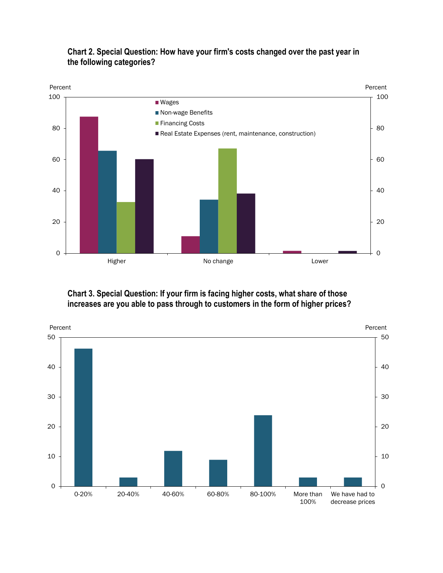

### **Chart 2. Special Question: How have your firm's costs changed over the past year in the following categories?**

#### **Chart 3. Special Question: If your firm is facing higher costs, what share of those increases are you able to pass through to customers in the form of higher prices?**